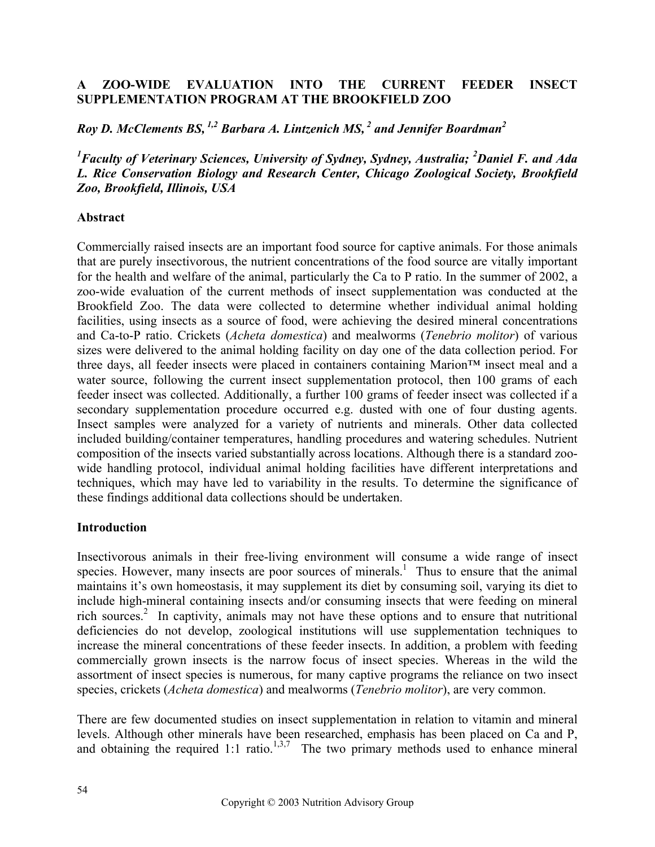## **A ZOO-WIDE EVALUATION INTO THE CURRENT FEEDER INSECT SUPPLEMENTATION PROGRAM AT THE BROOKFIELD ZOO**

*Roy D. McClements BS, 1,2 Barbara A. Lintzenich MS, 2 and Jennifer Boardman2* 

<sup>1</sup> Faculty of Veterinary Sciences, University of Sydney, Sydney, Australia; <sup>2</sup>Daniel F. and Ada *L. Rice Conservation Biology and Research Center, Chicago Zoological Society, Brookfield Zoo, Brookfield, Illinois, USA*

## **Abstract**

Commercially raised insects are an important food source for captive animals. For those animals that are purely insectivorous, the nutrient concentrations of the food source are vitally important for the health and welfare of the animal, particularly the Ca to P ratio. In the summer of 2002, a zoo-wide evaluation of the current methods of insect supplementation was conducted at the Brookfield Zoo. The data were collected to determine whether individual animal holding facilities, using insects as a source of food, were achieving the desired mineral concentrations and Ca-to-P ratio. Crickets (*Acheta domestica*) and mealworms (*Tenebrio molitor*) of various sizes were delivered to the animal holding facility on day one of the data collection period. For three days, all feeder insects were placed in containers containing Marion™ insect meal and a water source, following the current insect supplementation protocol, then 100 grams of each feeder insect was collected. Additionally, a further 100 grams of feeder insect was collected if a secondary supplementation procedure occurred e.g. dusted with one of four dusting agents. Insect samples were analyzed for a variety of nutrients and minerals. Other data collected included building/container temperatures, handling procedures and watering schedules. Nutrient composition of the insects varied substantially across locations. Although there is a standard zoowide handling protocol, individual animal holding facilities have different interpretations and techniques, which may have led to variability in the results. To determine the significance of these findings additional data collections should be undertaken.

# **Introduction**

Insectivorous animals in their free-living environment will consume a wide range of insect species. However, many insects are poor sources of minerals.<sup>1</sup> Thus to ensure that the animal maintains it's own homeostasis, it may supplement its diet by consuming soil, varying its diet to include high-mineral containing insects and/or consuming insects that were feeding on mineral rich sources.<sup>2</sup> In captivity, animals may not have these options and to ensure that nutritional deficiencies do not develop, zoological institutions will use supplementation techniques to increase the mineral concentrations of these feeder insects. In addition, a problem with feeding commercially grown insects is the narrow focus of insect species. Whereas in the wild the assortment of insect species is numerous, for many captive programs the reliance on two insect species, crickets (*Acheta domestica*) and mealworms (*Tenebrio molitor*), are very common.

There are few documented studies on insect supplementation in relation to vitamin and mineral levels. Although other minerals have been researched, emphasis has been placed on Ca and P, and obtaining the required 1:1 ratio.<sup>1,3,7</sup> The two primary methods used to enhance mineral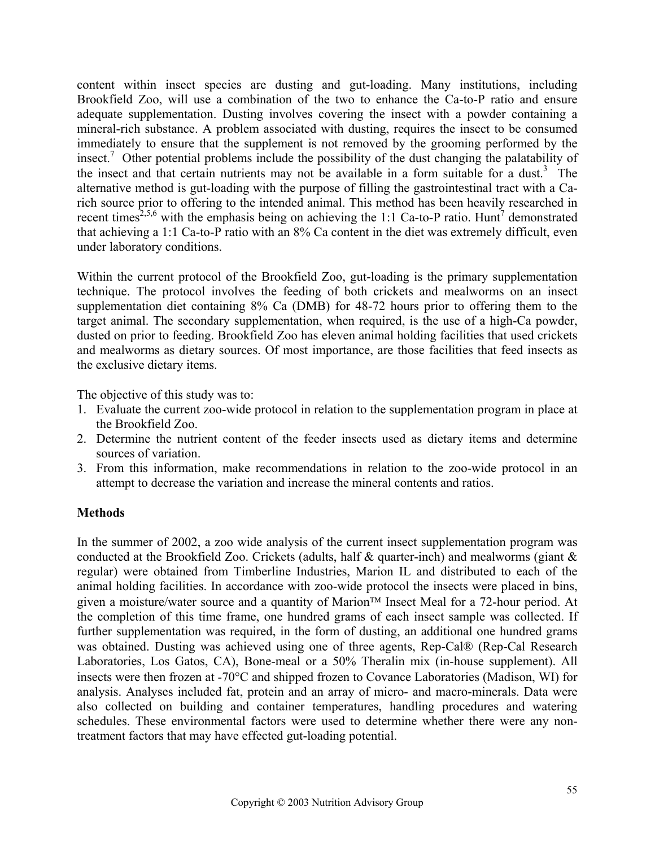content within insect species are dusting and gut-loading. Many institutions, including Brookfield Zoo, will use a combination of the two to enhance the Ca-to-P ratio and ensure adequate supplementation. Dusting involves covering the insect with a powder containing a mineral-rich substance. A problem associated with dusting, requires the insect to be consumed immediately to ensure that the supplement is not removed by the grooming performed by the insect.<sup>7</sup> Other potential problems include the possibility of the dust changing the palatability of the insect and that certain nutrients may not be available in a form suitable for a dust.<sup>3</sup> The alternative method is gut-loading with the purpose of filling the gastrointestinal tract with a Carich source prior to offering to the intended animal. This method has been heavily researched in recent times<sup>2,5,6</sup> with the emphasis being on achieving the 1:1 Ca-to-P ratio. Hunt<sup>7</sup> demonstrated that achieving a 1:1 Ca-to-P ratio with an 8% Ca content in the diet was extremely difficult, even under laboratory conditions.

Within the current protocol of the Brookfield Zoo, gut-loading is the primary supplementation technique. The protocol involves the feeding of both crickets and mealworms on an insect supplementation diet containing 8% Ca (DMB) for 48-72 hours prior to offering them to the target animal. The secondary supplementation, when required, is the use of a high-Ca powder, dusted on prior to feeding. Brookfield Zoo has eleven animal holding facilities that used crickets and mealworms as dietary sources. Of most importance, are those facilities that feed insects as the exclusive dietary items.

The objective of this study was to:

- 1. Evaluate the current zoo-wide protocol in relation to the supplementation program in place at the Brookfield Zoo.
- 2. Determine the nutrient content of the feeder insects used as dietary items and determine sources of variation.
- 3. From this information, make recommendations in relation to the zoo-wide protocol in an attempt to decrease the variation and increase the mineral contents and ratios.

# **Methods**

In the summer of 2002, a zoo wide analysis of the current insect supplementation program was conducted at the Brookfield Zoo. Crickets (adults, half & quarter-inch) and mealworms (giant & regular) were obtained from Timberline Industries, Marion IL and distributed to each of the animal holding facilities. In accordance with zoo-wide protocol the insects were placed in bins, given a moisture/water source and a quantity of Marion<sup>TM</sup> Insect Meal for a 72-hour period. At the completion of this time frame, one hundred grams of each insect sample was collected. If further supplementation was required, in the form of dusting, an additional one hundred grams was obtained. Dusting was achieved using one of three agents, Rep-Cal® (Rep-Cal Research Laboratories, Los Gatos, CA), Bone-meal or a 50% Theralin mix (in-house supplement). All insects were then frozen at -70°C and shipped frozen to Covance Laboratories (Madison, WI) for analysis. Analyses included fat, protein and an array of micro- and macro-minerals. Data were also collected on building and container temperatures, handling procedures and watering schedules. These environmental factors were used to determine whether there were any nontreatment factors that may have effected gut-loading potential.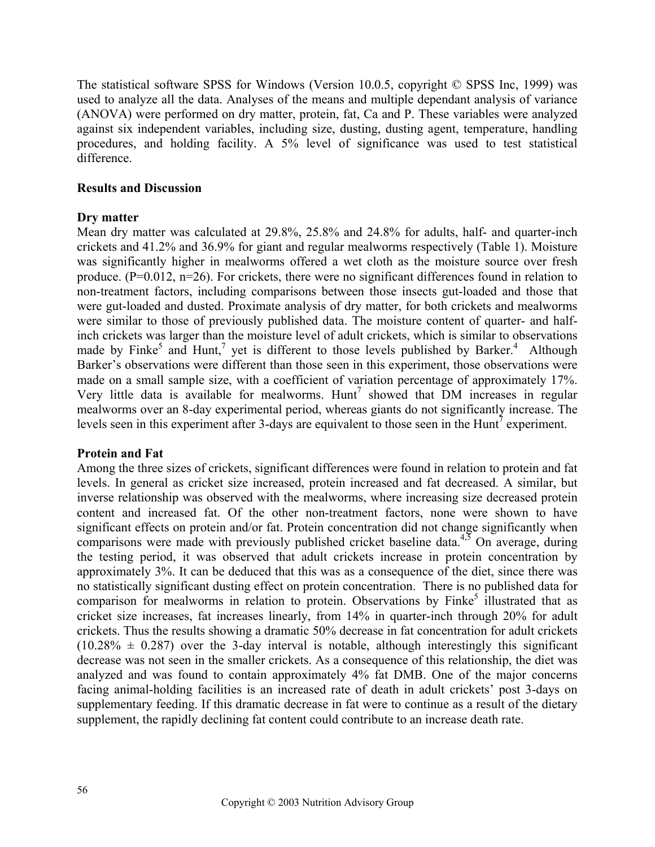The statistical software SPSS for Windows (Version 10.0.5, copyright © SPSS Inc, 1999) was used to analyze all the data. Analyses of the means and multiple dependant analysis of variance (ANOVA) were performed on dry matter, protein, fat, Ca and P. These variables were analyzed against six independent variables, including size, dusting, dusting agent, temperature, handling procedures, and holding facility. A 5% level of significance was used to test statistical difference.

## **Results and Discussion**

# **Dry matter**

Mean dry matter was calculated at 29.8%, 25.8% and 24.8% for adults, half- and quarter-inch crickets and 41.2% and 36.9% for giant and regular mealworms respectively (Table 1). Moisture was significantly higher in mealworms offered a wet cloth as the moisture source over fresh produce. (P=0.012, n=26). For crickets, there were no significant differences found in relation to non-treatment factors, including comparisons between those insects gut-loaded and those that were gut-loaded and dusted. Proximate analysis of dry matter, for both crickets and mealworms were similar to those of previously published data. The moisture content of quarter- and halfinch crickets was larger than the moisture level of adult crickets, which is similar to observations made by Finke<sup>5</sup> and Hunt,<sup>7</sup> yet is different to those levels published by Barker.<sup>4</sup> Although Barker's observations were different than those seen in this experiment, those observations were made on a small sample size, with a coefficient of variation percentage of approximately 17%. Very little data is available for mealworms.  $Hunt^7$  showed that DM increases in regular mealworms over an 8-day experimental period, whereas giants do not significantly increase. The levels seen in this experiment after 3-days are equivalent to those seen in the Hunt<sup>7</sup> experiment.

### **Protein and Fat**

Among the three sizes of crickets, significant differences were found in relation to protein and fat levels. In general as cricket size increased, protein increased and fat decreased. A similar, but inverse relationship was observed with the mealworms, where increasing size decreased protein content and increased fat. Of the other non-treatment factors, none were shown to have significant effects on protein and/or fat. Protein concentration did not change significantly when comparisons were made with previously published cricket baseline data.<sup>4,5</sup> On average, during the testing period, it was observed that adult crickets increase in protein concentration by approximately 3%. It can be deduced that this was as a consequence of the diet, since there was no statistically significant dusting effect on protein concentration. There is no published data for comparison for mealworms in relation to protein. Observations by Finke<sup>5</sup> illustrated that as cricket size increases, fat increases linearly, from 14% in quarter-inch through 20% for adult crickets. Thus the results showing a dramatic 50% decrease in fat concentration for adult crickets  $(10.28\% \pm 0.287)$  over the 3-day interval is notable, although interestingly this significant decrease was not seen in the smaller crickets. As a consequence of this relationship, the diet was analyzed and was found to contain approximately 4% fat DMB. One of the major concerns facing animal-holding facilities is an increased rate of death in adult crickets' post 3-days on supplementary feeding. If this dramatic decrease in fat were to continue as a result of the dietary supplement, the rapidly declining fat content could contribute to an increase death rate.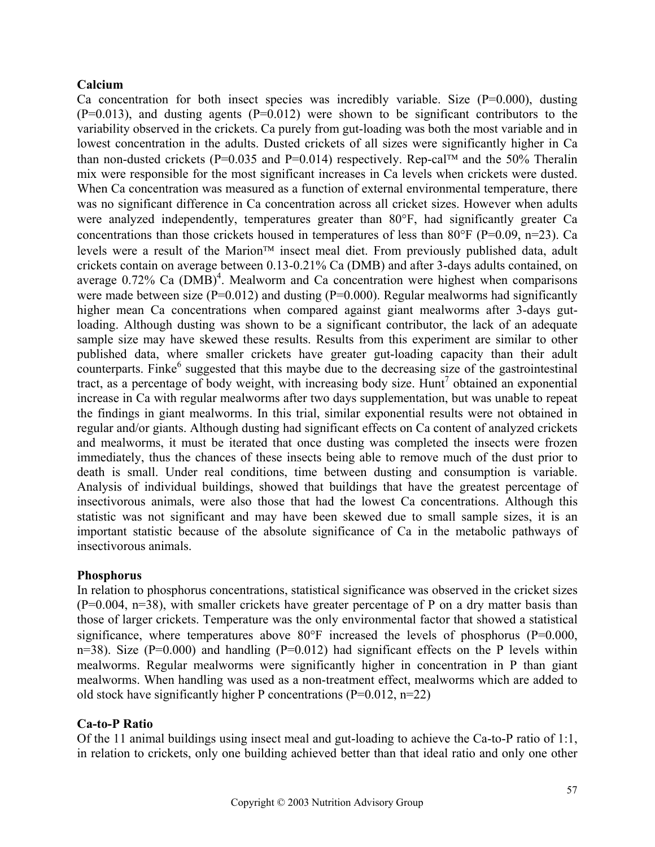### **Calcium**

Ca concentration for both insect species was incredibly variable. Size  $(P=0.000)$ , dusting  $(P=0.013)$ , and dusting agents  $(P=0.012)$  were shown to be significant contributors to the variability observed in the crickets. Ca purely from gut-loading was both the most variable and in lowest concentration in the adults. Dusted crickets of all sizes were significantly higher in Ca than non-dusted crickets (P=0.035 and P=0.014) respectively. Rep-cal<sup>TM</sup> and the 50% Theralin mix were responsible for the most significant increases in Ca levels when crickets were dusted. When Ca concentration was measured as a function of external environmental temperature, there was no significant difference in Ca concentration across all cricket sizes. However when adults were analyzed independently, temperatures greater than 80°F, had significantly greater Ca concentrations than those crickets housed in temperatures of less than 80 $\degree$ F (P=0.09, n=23). Ca levels were a result of the Marion<sup>TM</sup> insect meal diet. From previously published data, adult crickets contain on average between 0.13-0.21% Ca (DMB) and after 3-days adults contained, on average  $0.72\%$  Ca  $(DMB)^4$ . Mealworm and Ca concentration were highest when comparisons were made between size  $(P=0.012)$  and dusting  $(P=0.000)$ . Regular mealworms had significantly higher mean Ca concentrations when compared against giant mealworms after 3-days gutloading. Although dusting was shown to be a significant contributor, the lack of an adequate sample size may have skewed these results. Results from this experiment are similar to other published data, where smaller crickets have greater gut-loading capacity than their adult counterparts. Finke $<sup>6</sup>$  suggested that this maybe due to the decreasing size of the gastrointestinal</sup> tract, as a percentage of body weight, with increasing body size. Hunt<sup>7</sup> obtained an exponential increase in Ca with regular mealworms after two days supplementation, but was unable to repeat the findings in giant mealworms. In this trial, similar exponential results were not obtained in regular and/or giants. Although dusting had significant effects on Ca content of analyzed crickets and mealworms, it must be iterated that once dusting was completed the insects were frozen immediately, thus the chances of these insects being able to remove much of the dust prior to death is small. Under real conditions, time between dusting and consumption is variable. Analysis of individual buildings, showed that buildings that have the greatest percentage of insectivorous animals, were also those that had the lowest Ca concentrations. Although this statistic was not significant and may have been skewed due to small sample sizes, it is an important statistic because of the absolute significance of Ca in the metabolic pathways of insectivorous animals.

### **Phosphorus**

In relation to phosphorus concentrations, statistical significance was observed in the cricket sizes  $(P=0.004, n=38)$ , with smaller crickets have greater percentage of P on a dry matter basis than those of larger crickets. Temperature was the only environmental factor that showed a statistical significance, where temperatures above  $80^{\circ}$ F increased the levels of phosphorus (P=0.000, n=38). Size ( $P=0.000$ ) and handling ( $P=0.012$ ) had significant effects on the P levels within mealworms. Regular mealworms were significantly higher in concentration in P than giant mealworms. When handling was used as a non-treatment effect, mealworms which are added to old stock have significantly higher P concentrations  $(P=0.012, n=22)$ 

### **Ca-to-P Ratio**

Of the 11 animal buildings using insect meal and gut-loading to achieve the Ca-to-P ratio of 1:1, in relation to crickets, only one building achieved better than that ideal ratio and only one other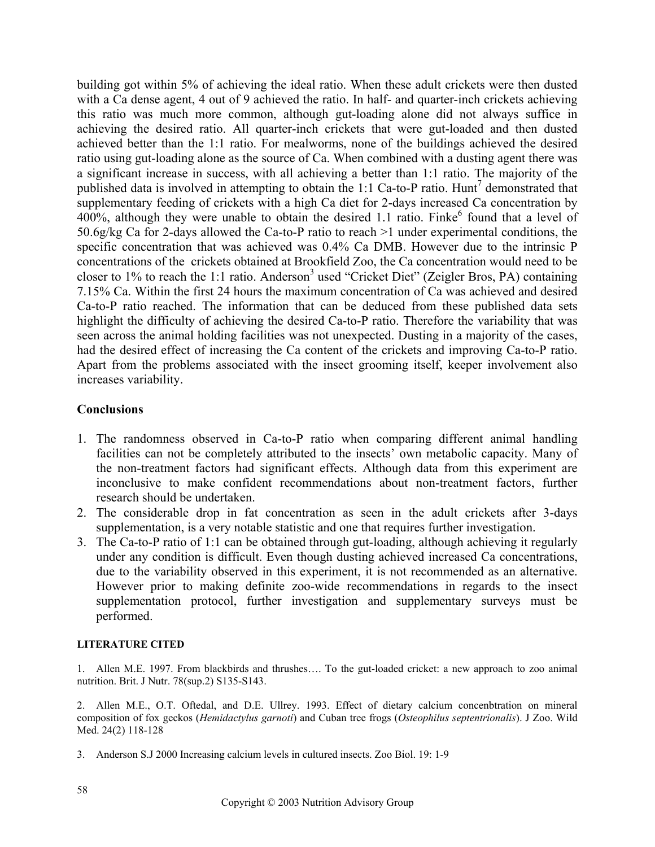building got within 5% of achieving the ideal ratio. When these adult crickets were then dusted with a Ca dense agent, 4 out of 9 achieved the ratio. In half- and quarter-inch crickets achieving this ratio was much more common, although gut-loading alone did not always suffice in achieving the desired ratio. All quarter-inch crickets that were gut-loaded and then dusted achieved better than the 1:1 ratio. For mealworms, none of the buildings achieved the desired ratio using gut-loading alone as the source of Ca. When combined with a dusting agent there was a significant increase in success, with all achieving a better than 1:1 ratio. The majority of the published data is involved in attempting to obtain the 1:1 Ca-to-P ratio. Hunt<sup>7</sup> demonstrated that supplementary feeding of crickets with a high Ca diet for 2-days increased Ca concentration by  $400\%$ , although they were unable to obtain the desired 1.1 ratio. Finke<sup>6</sup> found that a level of 50.6g/kg Ca for 2-days allowed the Ca-to-P ratio to reach >1 under experimental conditions, the specific concentration that was achieved was 0.4% Ca DMB. However due to the intrinsic P concentrations of the crickets obtained at Brookfield Zoo, the Ca concentration would need to be closer to 1% to reach the 1:1 ratio. Anderson<sup>3</sup> used "Cricket Diet" (Zeigler Bros, PA) containing 7.15% Ca. Within the first 24 hours the maximum concentration of Ca was achieved and desired Ca-to-P ratio reached. The information that can be deduced from these published data sets highlight the difficulty of achieving the desired Ca-to-P ratio. Therefore the variability that was seen across the animal holding facilities was not unexpected. Dusting in a majority of the cases, had the desired effect of increasing the Ca content of the crickets and improving Ca-to-P ratio. Apart from the problems associated with the insect grooming itself, keeper involvement also increases variability.

## **Conclusions**

- 1. The randomness observed in Ca-to-P ratio when comparing different animal handling facilities can not be completely attributed to the insects' own metabolic capacity. Many of the non-treatment factors had significant effects. Although data from this experiment are inconclusive to make confident recommendations about non-treatment factors, further research should be undertaken.
- 2. The considerable drop in fat concentration as seen in the adult crickets after 3-days supplementation, is a very notable statistic and one that requires further investigation.
- 3. The Ca-to-P ratio of 1:1 can be obtained through gut-loading, although achieving it regularly under any condition is difficult. Even though dusting achieved increased Ca concentrations, due to the variability observed in this experiment, it is not recommended as an alternative. However prior to making definite zoo-wide recommendations in regards to the insect supplementation protocol, further investigation and supplementary surveys must be performed.

### **LITERATURE CITED**

1. Allen M.E. 1997. From blackbirds and thrushes…. To the gut-loaded cricket: a new approach to zoo animal nutrition. Brit. J Nutr. 78(sup.2) S135-S143.

2. Allen M.E., O.T. Oftedal, and D.E. Ullrey. 1993. Effect of dietary calcium concenbtration on mineral composition of fox geckos (*Hemidactylus garnoti*) and Cuban tree frogs (*Osteophilus septentrionalis*). J Zoo. Wild Med. 24(2) 118-128

3. Anderson S.J 2000 Increasing calcium levels in cultured insects. Zoo Biol. 19: 1-9